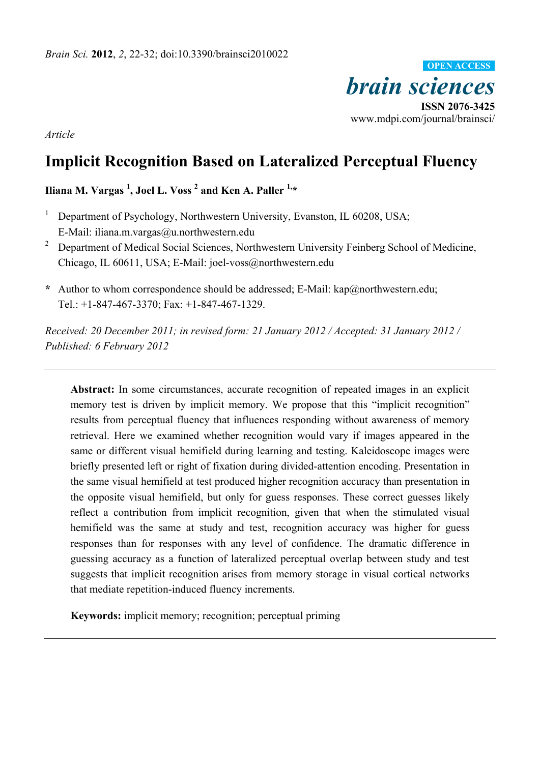*brain sciences*  **ISSN 2076-3425**  www.mdpi.com/journal/brainsci/ **OPEN ACCESS**

*Article* 

# **Implicit Recognition Based on Lateralized Perceptual Fluency**

**Iliana M. Vargas <sup>1</sup> , Joel L. Voss 2 and Ken A. Paller 1,\*** 

- 1 Department of Psychology, Northwestern University, Evanston, IL 60208, USA; E-Mail: iliana.m.vargas@u.northwestern.edu
- 2 Department of Medical Social Sciences, Northwestern University Feinberg School of Medicine, Chicago, IL 60611, USA; E-Mail: joel-voss@northwestern.edu
- **\*** Author to whom correspondence should be addressed; E-Mail: kap@northwestern.edu; Tel.: +1-847-467-3370; Fax: +1-847-467-1329.

*Received: 20 December 2011; in revised form: 21 January 2012 / Accepted: 31 January 2012 / Published: 6 February 2012* 

**Abstract:** In some circumstances, accurate recognition of repeated images in an explicit memory test is driven by implicit memory. We propose that this "implicit recognition" results from perceptual fluency that influences responding without awareness of memory retrieval. Here we examined whether recognition would vary if images appeared in the same or different visual hemifield during learning and testing. Kaleidoscope images were briefly presented left or right of fixation during divided-attention encoding. Presentation in the same visual hemifield at test produced higher recognition accuracy than presentation in the opposite visual hemifield, but only for guess responses. These correct guesses likely reflect a contribution from implicit recognition, given that when the stimulated visual hemifield was the same at study and test, recognition accuracy was higher for guess responses than for responses with any level of confidence. The dramatic difference in guessing accuracy as a function of lateralized perceptual overlap between study and test suggests that implicit recognition arises from memory storage in visual cortical networks that mediate repetition-induced fluency increments.

**Keywords:** implicit memory; recognition; perceptual priming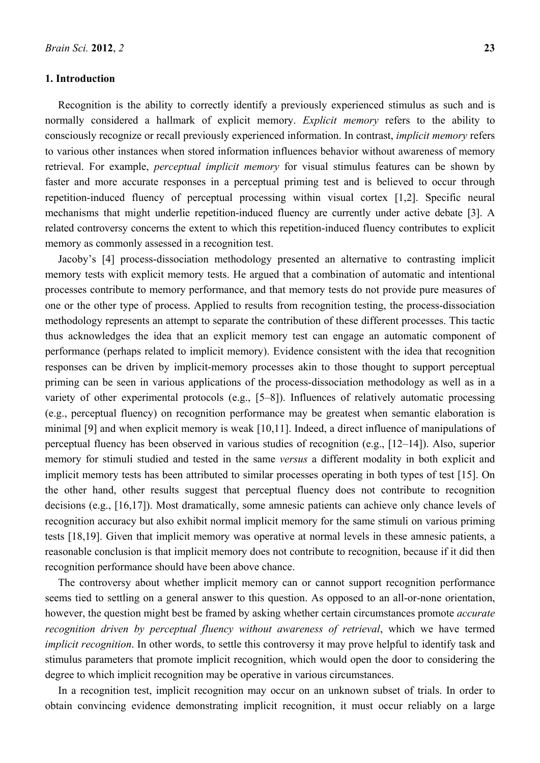#### **1. Introduction**

Recognition is the ability to correctly identify a previously experienced stimulus as such and is normally considered a hallmark of explicit memory. *Explicit memory* refers to the ability to consciously recognize or recall previously experienced information. In contrast, *implicit memory* refers to various other instances when stored information influences behavior without awareness of memory retrieval. For example, *perceptual implicit memory* for visual stimulus features can be shown by faster and more accurate responses in a perceptual priming test and is believed to occur through repetition-induced fluency of perceptual processing within visual cortex [1,2]. Specific neural mechanisms that might underlie repetition-induced fluency are currently under active debate [3]. A related controversy concerns the extent to which this repetition-induced fluency contributes to explicit memory as commonly assessed in a recognition test.

Jacoby's [4] process-dissociation methodology presented an alternative to contrasting implicit memory tests with explicit memory tests. He argued that a combination of automatic and intentional processes contribute to memory performance, and that memory tests do not provide pure measures of one or the other type of process. Applied to results from recognition testing, the process-dissociation methodology represents an attempt to separate the contribution of these different processes. This tactic thus acknowledges the idea that an explicit memory test can engage an automatic component of performance (perhaps related to implicit memory). Evidence consistent with the idea that recognition responses can be driven by implicit-memory processes akin to those thought to support perceptual priming can be seen in various applications of the process-dissociation methodology as well as in a variety of other experimental protocols (e.g., [5–8]). Influences of relatively automatic processing (e.g., perceptual fluency) on recognition performance may be greatest when semantic elaboration is minimal [9] and when explicit memory is weak [10,11]. Indeed, a direct influence of manipulations of perceptual fluency has been observed in various studies of recognition (e.g., [12–14]). Also, superior memory for stimuli studied and tested in the same *versus* a different modality in both explicit and implicit memory tests has been attributed to similar processes operating in both types of test [15]. On the other hand, other results suggest that perceptual fluency does not contribute to recognition decisions (e.g., [16,17]). Most dramatically, some amnesic patients can achieve only chance levels of recognition accuracy but also exhibit normal implicit memory for the same stimuli on various priming tests [18,19]. Given that implicit memory was operative at normal levels in these amnesic patients, a reasonable conclusion is that implicit memory does not contribute to recognition, because if it did then recognition performance should have been above chance.

The controversy about whether implicit memory can or cannot support recognition performance seems tied to settling on a general answer to this question. As opposed to an all-or-none orientation, however, the question might best be framed by asking whether certain circumstances promote *accurate recognition driven by perceptual fluency without awareness of retrieval*, which we have termed *implicit recognition*. In other words, to settle this controversy it may prove helpful to identify task and stimulus parameters that promote implicit recognition, which would open the door to considering the degree to which implicit recognition may be operative in various circumstances.

In a recognition test, implicit recognition may occur on an unknown subset of trials. In order to obtain convincing evidence demonstrating implicit recognition, it must occur reliably on a large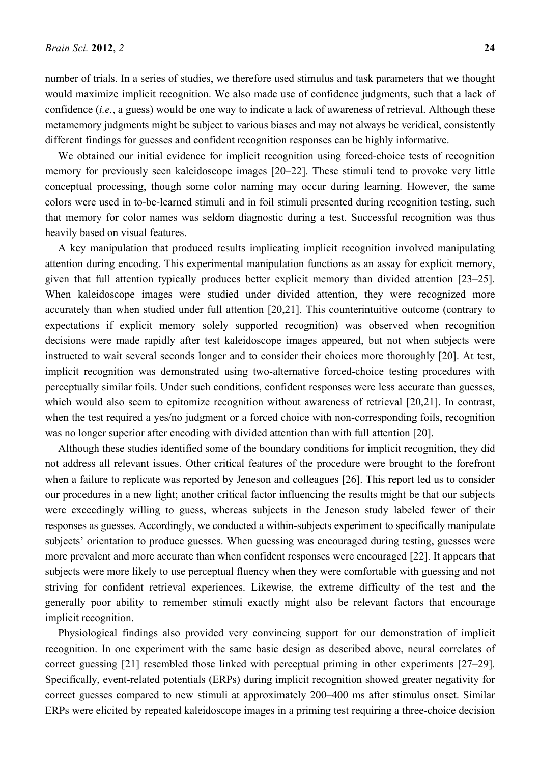number of trials. In a series of studies, we therefore used stimulus and task parameters that we thought would maximize implicit recognition. We also made use of confidence judgments, such that a lack of confidence (*i.e.*, a guess) would be one way to indicate a lack of awareness of retrieval. Although these metamemory judgments might be subject to various biases and may not always be veridical, consistently different findings for guesses and confident recognition responses can be highly informative.

We obtained our initial evidence for implicit recognition using forced-choice tests of recognition memory for previously seen kaleidoscope images [20–22]. These stimuli tend to provoke very little conceptual processing, though some color naming may occur during learning. However, the same colors were used in to-be-learned stimuli and in foil stimuli presented during recognition testing, such that memory for color names was seldom diagnostic during a test. Successful recognition was thus heavily based on visual features.

A key manipulation that produced results implicating implicit recognition involved manipulating attention during encoding. This experimental manipulation functions as an assay for explicit memory, given that full attention typically produces better explicit memory than divided attention [23–25]. When kaleidoscope images were studied under divided attention, they were recognized more accurately than when studied under full attention [20,21]. This counterintuitive outcome (contrary to expectations if explicit memory solely supported recognition) was observed when recognition decisions were made rapidly after test kaleidoscope images appeared, but not when subjects were instructed to wait several seconds longer and to consider their choices more thoroughly [20]. At test, implicit recognition was demonstrated using two-alternative forced-choice testing procedures with perceptually similar foils. Under such conditions, confident responses were less accurate than guesses, which would also seem to epitomize recognition without awareness of retrieval [20,21]. In contrast, when the test required a yes/no judgment or a forced choice with non-corresponding foils, recognition was no longer superior after encoding with divided attention than with full attention [20].

Although these studies identified some of the boundary conditions for implicit recognition, they did not address all relevant issues. Other critical features of the procedure were brought to the forefront when a failure to replicate was reported by Jeneson and colleagues [26]. This report led us to consider our procedures in a new light; another critical factor influencing the results might be that our subjects were exceedingly willing to guess, whereas subjects in the Jeneson study labeled fewer of their responses as guesses. Accordingly, we conducted a within-subjects experiment to specifically manipulate subjects' orientation to produce guesses. When guessing was encouraged during testing, guesses were more prevalent and more accurate than when confident responses were encouraged [22]. It appears that subjects were more likely to use perceptual fluency when they were comfortable with guessing and not striving for confident retrieval experiences. Likewise, the extreme difficulty of the test and the generally poor ability to remember stimuli exactly might also be relevant factors that encourage implicit recognition.

Physiological findings also provided very convincing support for our demonstration of implicit recognition. In one experiment with the same basic design as described above, neural correlates of correct guessing [21] resembled those linked with perceptual priming in other experiments [27–29]. Specifically, event-related potentials (ERPs) during implicit recognition showed greater negativity for correct guesses compared to new stimuli at approximately 200–400 ms after stimulus onset. Similar ERPs were elicited by repeated kaleidoscope images in a priming test requiring a three-choice decision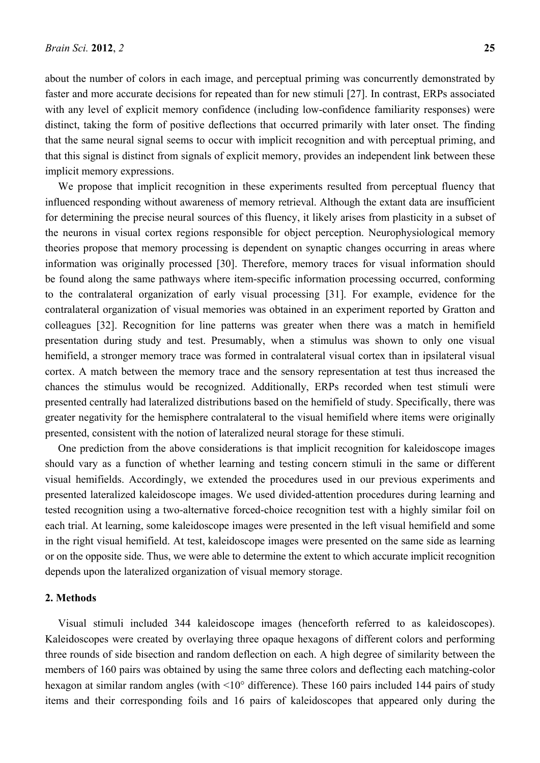about the number of colors in each image, and perceptual priming was concurrently demonstrated by faster and more accurate decisions for repeated than for new stimuli [27]. In contrast, ERPs associated with any level of explicit memory confidence (including low-confidence familiarity responses) were distinct, taking the form of positive deflections that occurred primarily with later onset. The finding that the same neural signal seems to occur with implicit recognition and with perceptual priming, and that this signal is distinct from signals of explicit memory, provides an independent link between these implicit memory expressions.

We propose that implicit recognition in these experiments resulted from perceptual fluency that influenced responding without awareness of memory retrieval. Although the extant data are insufficient for determining the precise neural sources of this fluency, it likely arises from plasticity in a subset of the neurons in visual cortex regions responsible for object perception. Neurophysiological memory theories propose that memory processing is dependent on synaptic changes occurring in areas where information was originally processed [30]. Therefore, memory traces for visual information should be found along the same pathways where item-specific information processing occurred, conforming to the contralateral organization of early visual processing [31]. For example, evidence for the contralateral organization of visual memories was obtained in an experiment reported by Gratton and colleagues [32]. Recognition for line patterns was greater when there was a match in hemifield presentation during study and test. Presumably, when a stimulus was shown to only one visual hemifield, a stronger memory trace was formed in contralateral visual cortex than in ipsilateral visual cortex. A match between the memory trace and the sensory representation at test thus increased the chances the stimulus would be recognized. Additionally, ERPs recorded when test stimuli were presented centrally had lateralized distributions based on the hemifield of study. Specifically, there was greater negativity for the hemisphere contralateral to the visual hemifield where items were originally presented, consistent with the notion of lateralized neural storage for these stimuli.

One prediction from the above considerations is that implicit recognition for kaleidoscope images should vary as a function of whether learning and testing concern stimuli in the same or different visual hemifields. Accordingly, we extended the procedures used in our previous experiments and presented lateralized kaleidoscope images. We used divided-attention procedures during learning and tested recognition using a two-alternative forced-choice recognition test with a highly similar foil on each trial. At learning, some kaleidoscope images were presented in the left visual hemifield and some in the right visual hemifield. At test, kaleidoscope images were presented on the same side as learning or on the opposite side. Thus, we were able to determine the extent to which accurate implicit recognition depends upon the lateralized organization of visual memory storage.

#### **2. Methods**

Visual stimuli included 344 kaleidoscope images (henceforth referred to as kaleidoscopes). Kaleidoscopes were created by overlaying three opaque hexagons of different colors and performing three rounds of side bisection and random deflection on each. A high degree of similarity between the members of 160 pairs was obtained by using the same three colors and deflecting each matching-color hexagon at similar random angles (with <10° difference). These 160 pairs included 144 pairs of study items and their corresponding foils and 16 pairs of kaleidoscopes that appeared only during the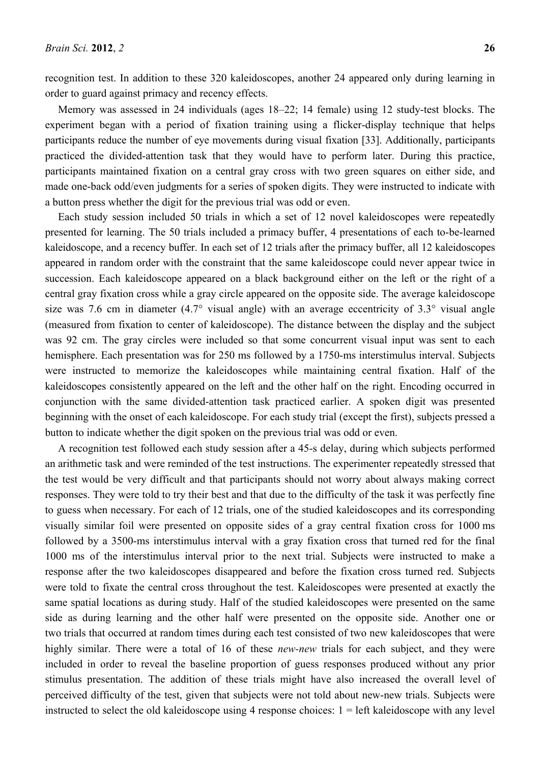recognition test. In addition to these 320 kaleidoscopes, another 24 appeared only during learning in order to guard against primacy and recency effects.

Memory was assessed in 24 individuals (ages 18–22; 14 female) using 12 study-test blocks. The experiment began with a period of fixation training using a flicker-display technique that helps participants reduce the number of eye movements during visual fixation [33]. Additionally, participants practiced the divided-attention task that they would have to perform later. During this practice, participants maintained fixation on a central gray cross with two green squares on either side, and made one-back odd/even judgments for a series of spoken digits. They were instructed to indicate with a button press whether the digit for the previous trial was odd or even.

Each study session included 50 trials in which a set of 12 novel kaleidoscopes were repeatedly presented for learning. The 50 trials included a primacy buffer, 4 presentations of each to-be-learned kaleidoscope, and a recency buffer. In each set of 12 trials after the primacy buffer, all 12 kaleidoscopes appeared in random order with the constraint that the same kaleidoscope could never appear twice in succession. Each kaleidoscope appeared on a black background either on the left or the right of a central gray fixation cross while a gray circle appeared on the opposite side. The average kaleidoscope size was 7.6 cm in diameter  $(4.7^{\circ}$  visual angle) with an average eccentricity of 3.3° visual angle (measured from fixation to center of kaleidoscope). The distance between the display and the subject was 92 cm. The gray circles were included so that some concurrent visual input was sent to each hemisphere. Each presentation was for 250 ms followed by a 1750-ms interstimulus interval. Subjects were instructed to memorize the kaleidoscopes while maintaining central fixation. Half of the kaleidoscopes consistently appeared on the left and the other half on the right. Encoding occurred in conjunction with the same divided-attention task practiced earlier. A spoken digit was presented beginning with the onset of each kaleidoscope. For each study trial (except the first), subjects pressed a button to indicate whether the digit spoken on the previous trial was odd or even.

A recognition test followed each study session after a 45-s delay, during which subjects performed an arithmetic task and were reminded of the test instructions. The experimenter repeatedly stressed that the test would be very difficult and that participants should not worry about always making correct responses. They were told to try their best and that due to the difficulty of the task it was perfectly fine to guess when necessary. For each of 12 trials, one of the studied kaleidoscopes and its corresponding visually similar foil were presented on opposite sides of a gray central fixation cross for 1000 ms followed by a 3500-ms interstimulus interval with a gray fixation cross that turned red for the final 1000 ms of the interstimulus interval prior to the next trial. Subjects were instructed to make a response after the two kaleidoscopes disappeared and before the fixation cross turned red. Subjects were told to fixate the central cross throughout the test. Kaleidoscopes were presented at exactly the same spatial locations as during study. Half of the studied kaleidoscopes were presented on the same side as during learning and the other half were presented on the opposite side. Another one or two trials that occurred at random times during each test consisted of two new kaleidoscopes that were highly similar. There were a total of 16 of these *new-new* trials for each subject, and they were included in order to reveal the baseline proportion of guess responses produced without any prior stimulus presentation. The addition of these trials might have also increased the overall level of perceived difficulty of the test, given that subjects were not told about new-new trials. Subjects were instructed to select the old kaleidoscope using 4 response choices:  $1 = left$  kaleidoscope with any level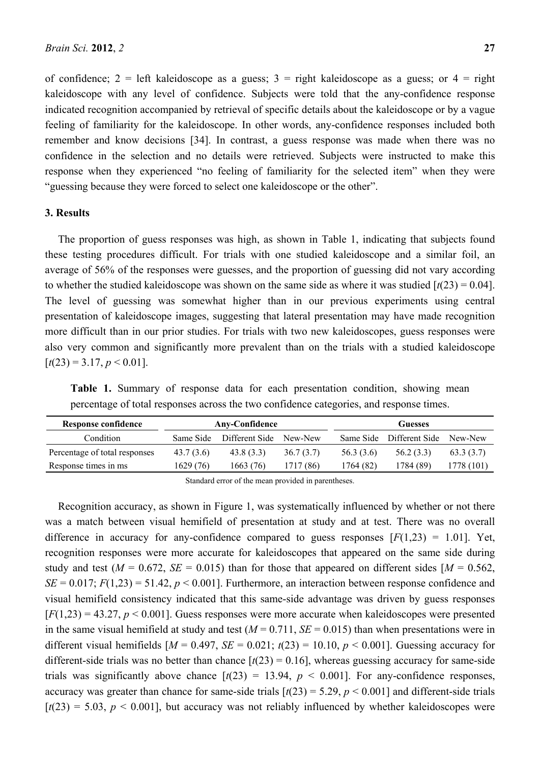of confidence;  $2 = \text{left}$  kaleidoscope as a guess;  $3 = \text{right}$  kaleidoscope as a guess; or  $4 = \text{right}$ kaleidoscope with any level of confidence. Subjects were told that the any-confidence response indicated recognition accompanied by retrieval of specific details about the kaleidoscope or by a vague feeling of familiarity for the kaleidoscope. In other words, any-confidence responses included both remember and know decisions [34]. In contrast, a guess response was made when there was no confidence in the selection and no details were retrieved. Subjects were instructed to make this response when they experienced "no feeling of familiarity for the selected item" when they were "guessing because they were forced to select one kaleidoscope or the other".

## **3. Results**

The proportion of guess responses was high, as shown in Table 1, indicating that subjects found these testing procedures difficult. For trials with one studied kaleidoscope and a similar foil, an average of 56% of the responses were guesses, and the proportion of guessing did not vary according to whether the studied kaleidoscope was shown on the same side as where it was studied  $\left[\frac{t(23)}{2}\right] = 0.04$ . The level of guessing was somewhat higher than in our previous experiments using central presentation of kaleidoscope images, suggesting that lateral presentation may have made recognition more difficult than in our prior studies. For trials with two new kaleidoscopes, guess responses were also very common and significantly more prevalent than on the trials with a studied kaleidoscope  $[t(23) = 3.17, p < 0.01]$ .

**Table 1.** Summary of response data for each presentation condition, showing mean percentage of total responses across the two confidence categories, and response times.

| Response confidence           | Any-Confidence |                |           | <b>Guesses</b> |                |            |
|-------------------------------|----------------|----------------|-----------|----------------|----------------|------------|
| Condition                     | Same Side      | Different Side | New-New   | Same Side      | Different Side | New-New    |
| Percentage of total responses | 43.7(3.6)      | 43.8(3.3)      | 36.7(3.7) | 56.3 (3.6)     | 56.2(3.3)      | 63.3(3.7)  |
| Response times in ms          | 1629 (76)      | 1663 (76)      | 1717 (86) | 1764 (82)      | 1784 (89)      | 1778 (101) |

Standard error of the mean provided in parentheses.

Recognition accuracy, as shown in Figure 1, was systematically influenced by whether or not there was a match between visual hemifield of presentation at study and at test. There was no overall difference in accuracy for any-confidence compared to guess responses  $[F(1,23) = 1.01]$ . Yet, recognition responses were more accurate for kaleidoscopes that appeared on the same side during study and test ( $M = 0.672$ ,  $SE = 0.015$ ) than for those that appeared on different sides [ $M = 0.562$ ,  $SE = 0.017$ ;  $F(1,23) = 51.42$ ,  $p < 0.001$ ]. Furthermore, an interaction between response confidence and visual hemifield consistency indicated that this same-side advantage was driven by guess responses  $[F(1,23) = 43.27, p \le 0.001]$ . Guess responses were more accurate when kaleidoscopes were presented in the same visual hemifield at study and test  $(M = 0.711, SE = 0.015)$  than when presentations were in different visual hemifields  $[M = 0.497, SE = 0.021; t(23) = 10.10, p < 0.001]$ . Guessing accuracy for different-side trials was no better than chance  $\left[t(23) = 0.16\right]$ , whereas guessing accuracy for same-side trials was significantly above chance  $[t(23) = 13.94, p < 0.001]$ . For any-confidence responses, accuracy was greater than chance for same-side trials  $[t(23) = 5.29, p < 0.001]$  and different-side trials  $[t(23) = 5.03, p < 0.001]$ , but accuracy was not reliably influenced by whether kaleidoscopes were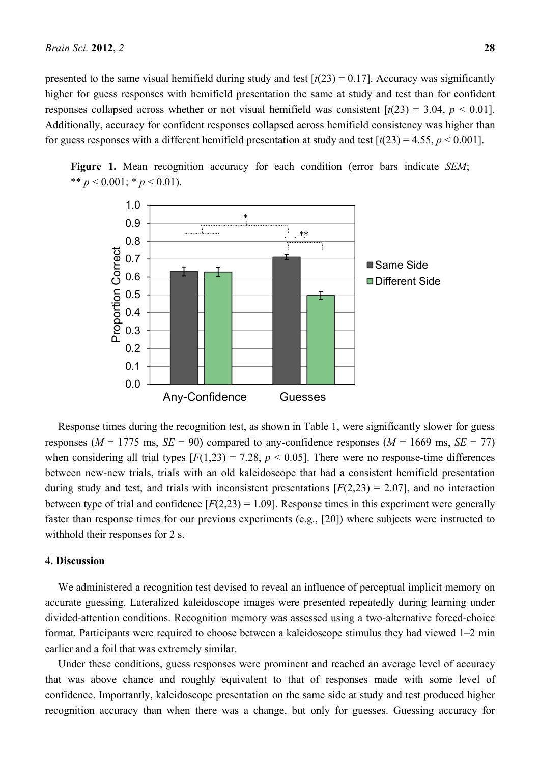presented to the same visual hemifield during study and test  $\lceil t(23) = 0.17 \rceil$ . Accuracy was significantly higher for guess responses with hemifield presentation the same at study and test than for confident responses collapsed across whether or not visual hemifield was consistent  $[t(23) = 3.04, p < 0.01]$ . Additionally, accuracy for confident responses collapsed across hemifield consistency was higher than for guess responses with a different hemifield presentation at study and test  $\lceil t(23) = 4.55, p \le 0.001 \rceil$ .



**Figure 1.** Mean recognition accuracy for each condition (error bars indicate *SEM*; \*\*  $p < 0.001$ ; \*  $p < 0.01$ ).

Response times during the recognition test, as shown in Table 1, were significantly slower for guess responses ( $M = 1775$  ms,  $SE = 90$ ) compared to any-confidence responses ( $M = 1669$  ms,  $SE = 77$ ) when considering all trial types  $[F(1,23) = 7.28, p \le 0.05]$ . There were no response-time differences between new-new trials, trials with an old kaleidoscope that had a consistent hemifield presentation during study and test, and trials with inconsistent presentations  $[F(2,23) = 2.07]$ , and no interaction between type of trial and confidence  $[F(2,23) = 1.09]$ . Response times in this experiment were generally faster than response times for our previous experiments (e.g., [20]) where subjects were instructed to withhold their responses for 2 s.

## **4. Discussion**

We administered a recognition test devised to reveal an influence of perceptual implicit memory on accurate guessing. Lateralized kaleidoscope images were presented repeatedly during learning under divided-attention conditions. Recognition memory was assessed using a two-alternative forced-choice format. Participants were required to choose between a kaleidoscope stimulus they had viewed 1–2 min earlier and a foil that was extremely similar.

Under these conditions, guess responses were prominent and reached an average level of accuracy that was above chance and roughly equivalent to that of responses made with some level of confidence. Importantly, kaleidoscope presentation on the same side at study and test produced higher recognition accuracy than when there was a change, but only for guesses. Guessing accuracy for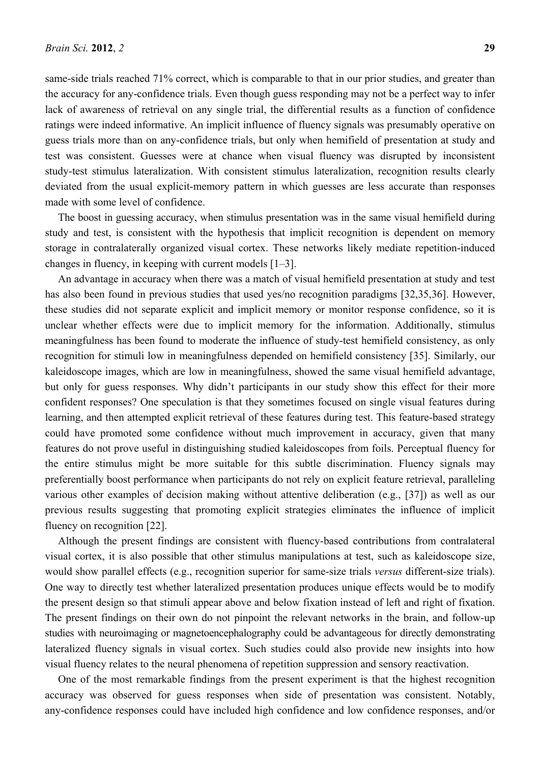same-side trials reached 71% correct, which is comparable to that in our prior studies, and greater than the accuracy for any-confidence trials. Even though guess responding may not be a perfect way to infer lack of awareness of retrieval on any single trial, the differential results as a function of confidence ratings were indeed informative. An implicit influence of fluency signals was presumably operative on guess trials more than on any-confidence trials, but only when hemifield of presentation at study and test was consistent. Guesses were at chance when visual fluency was disrupted by inconsistent study-test stimulus lateralization. With consistent stimulus lateralization, recognition results clearly deviated from the usual explicit-memory pattern in which guesses are less accurate than responses made with some level of confidence.

The boost in guessing accuracy, when stimulus presentation was in the same visual hemifield during study and test, is consistent with the hypothesis that implicit recognition is dependent on memory storage in contralaterally organized visual cortex. These networks likely mediate repetition-induced changes in fluency, in keeping with current models [1–3].

An advantage in accuracy when there was a match of visual hemifield presentation at study and test has also been found in previous studies that used yes/no recognition paradigms [32,35,36]. However, these studies did not separate explicit and implicit memory or monitor response confidence, so it is unclear whether effects were due to implicit memory for the information. Additionally, stimulus meaningfulness has been found to moderate the influence of study-test hemifield consistency, as only recognition for stimuli low in meaningfulness depended on hemifield consistency [35]. Similarly, our kaleidoscope images, which are low in meaningfulness, showed the same visual hemifield advantage, but only for guess responses. Why didn't participants in our study show this effect for their more confident responses? One speculation is that they sometimes focused on single visual features during learning, and then attempted explicit retrieval of these features during test. This feature-based strategy could have promoted some confidence without much improvement in accuracy, given that many features do not prove useful in distinguishing studied kaleidoscopes from foils. Perceptual fluency for the entire stimulus might be more suitable for this subtle discrimination. Fluency signals may preferentially boost performance when participants do not rely on explicit feature retrieval, paralleling various other examples of decision making without attentive deliberation (e.g., [37]) as well as our previous results suggesting that promoting explicit strategies eliminates the influence of implicit fluency on recognition [22].

Although the present findings are consistent with fluency-based contributions from contralateral visual cortex, it is also possible that other stimulus manipulations at test, such as kaleidoscope size, would show parallel effects (e.g., recognition superior for same-size trials *versus* different-size trials). One way to directly test whether lateralized presentation produces unique effects would be to modify the present design so that stimuli appear above and below fixation instead of left and right of fixation. The present findings on their own do not pinpoint the relevant networks in the brain, and follow-up studies with neuroimaging or magnetoencephalography could be advantageous for directly demonstrating lateralized fluency signals in visual cortex. Such studies could also provide new insights into how visual fluency relates to the neural phenomena of repetition suppression and sensory reactivation.

One of the most remarkable findings from the present experiment is that the highest recognition accuracy was observed for guess responses when side of presentation was consistent. Notably, any-confidence responses could have included high confidence and low confidence responses, and/or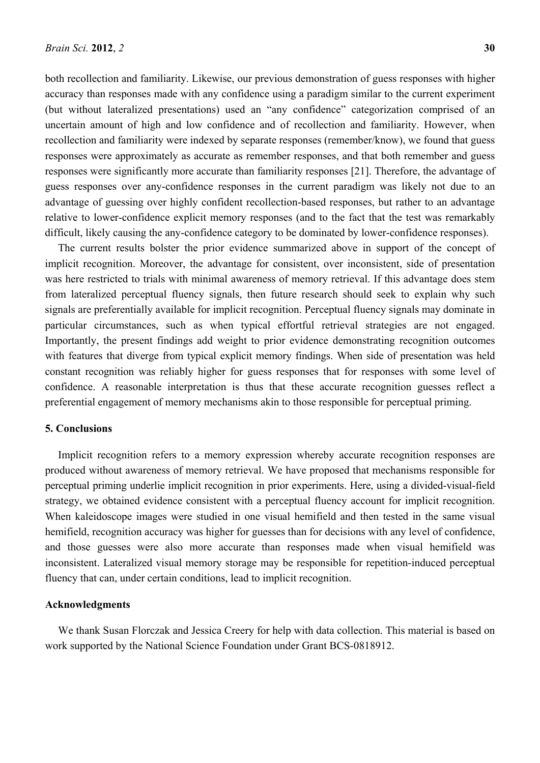both recollection and familiarity. Likewise, our previous demonstration of guess responses with higher accuracy than responses made with any confidence using a paradigm similar to the current experiment (but without lateralized presentations) used an "any confidence" categorization comprised of an uncertain amount of high and low confidence and of recollection and familiarity. However, when recollection and familiarity were indexed by separate responses (remember/know), we found that guess responses were approximately as accurate as remember responses, and that both remember and guess responses were significantly more accurate than familiarity responses [21]. Therefore, the advantage of guess responses over any-confidence responses in the current paradigm was likely not due to an advantage of guessing over highly confident recollection-based responses, but rather to an advantage relative to lower-confidence explicit memory responses (and to the fact that the test was remarkably difficult, likely causing the any-confidence category to be dominated by lower-confidence responses).

The current results bolster the prior evidence summarized above in support of the concept of implicit recognition. Moreover, the advantage for consistent, over inconsistent, side of presentation was here restricted to trials with minimal awareness of memory retrieval. If this advantage does stem from lateralized perceptual fluency signals, then future research should seek to explain why such signals are preferentially available for implicit recognition. Perceptual fluency signals may dominate in particular circumstances, such as when typical effortful retrieval strategies are not engaged. Importantly, the present findings add weight to prior evidence demonstrating recognition outcomes with features that diverge from typical explicit memory findings. When side of presentation was held constant recognition was reliably higher for guess responses that for responses with some level of confidence. A reasonable interpretation is thus that these accurate recognition guesses reflect a preferential engagement of memory mechanisms akin to those responsible for perceptual priming.

## **5. Conclusions**

Implicit recognition refers to a memory expression whereby accurate recognition responses are produced without awareness of memory retrieval. We have proposed that mechanisms responsible for perceptual priming underlie implicit recognition in prior experiments. Here, using a divided-visual-field strategy, we obtained evidence consistent with a perceptual fluency account for implicit recognition. When kaleidoscope images were studied in one visual hemifield and then tested in the same visual hemifield, recognition accuracy was higher for guesses than for decisions with any level of confidence, and those guesses were also more accurate than responses made when visual hemifield was inconsistent. Lateralized visual memory storage may be responsible for repetition-induced perceptual fluency that can, under certain conditions, lead to implicit recognition.

#### **Acknowledgments**

We thank Susan Florczak and Jessica Creery for help with data collection. This material is based on work supported by the National Science Foundation under Grant BCS-0818912.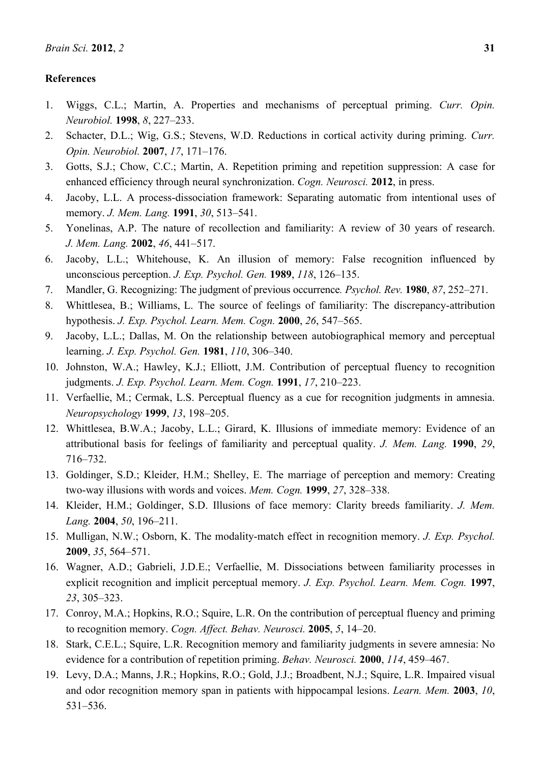## **References**

- 1. Wiggs, C.L.; Martin, A. Properties and mechanisms of perceptual priming. *Curr. Opin. Neurobiol.* **1998**, *8*, 227–233.
- 2. Schacter, D.L.; Wig, G.S.; Stevens, W.D. Reductions in cortical activity during priming. *Curr. Opin. Neurobiol.* **2007**, *17*, 171–176.
- 3. Gotts, S.J.; Chow, C.C.; Martin, A. Repetition priming and repetition suppression: A case for enhanced efficiency through neural synchronization. *Cogn. Neurosci.* **2012**, in press.
- 4. Jacoby, L.L. A process-dissociation framework: Separating automatic from intentional uses of memory. *J. Mem. Lang.* **1991**, *30*, 513–541.
- 5. Yonelinas, A.P. The nature of recollection and familiarity: A review of 30 years of research. *J. Mem. Lang.* **2002**, *46*, 441–517.
- 6. Jacoby, L.L.; Whitehouse, K. An illusion of memory: False recognition influenced by unconscious perception. *J. Exp. Psychol. Gen.* **1989**, *118*, 126–135.
- 7. Mandler, G. Recognizing: The judgment of previous occurrence*. Psychol. Rev.* **1980**, *87*, 252–271.
- 8. Whittlesea, B.; Williams, L. The source of feelings of familiarity: The discrepancy-attribution hypothesis. *J. Exp. Psychol. Learn. Mem. Cogn.* **2000**, *26*, 547–565.
- 9. Jacoby, L.L.; Dallas, M. On the relationship between autobiographical memory and perceptual learning. *J. Exp. Psychol. Gen.* **1981**, *110*, 306–340.
- 10. Johnston, W.A.; Hawley, K.J.; Elliott, J.M. Contribution of perceptual fluency to recognition judgments. *J. Exp. Psychol. Learn. Mem. Cogn.* **1991**, *17*, 210–223.
- 11. Verfaellie, M.; Cermak, L.S. Perceptual fluency as a cue for recognition judgments in amnesia. *Neuropsychology* **1999**, *13*, 198–205.
- 12. Whittlesea, B.W.A.; Jacoby, L.L.; Girard, K. Illusions of immediate memory: Evidence of an attributional basis for feelings of familiarity and perceptual quality. *J. Mem. Lang.* **1990**, *29*, 716–732.
- 13. Goldinger, S.D.; Kleider, H.M.; Shelley, E. The marriage of perception and memory: Creating two-way illusions with words and voices. *Mem. Cogn.* **1999**, *27*, 328–338.
- 14. Kleider, H.M.; Goldinger, S.D. Illusions of face memory: Clarity breeds familiarity. *J. Mem. Lang.* **2004**, *50*, 196–211.
- 15. Mulligan, N.W.; Osborn, K. The modality-match effect in recognition memory. *J. Exp. Psychol.*  **2009**, *35*, 564–571.
- 16. Wagner, A.D.; Gabrieli, J.D.E.; Verfaellie, M. Dissociations between familiarity processes in explicit recognition and implicit perceptual memory. *J. Exp. Psychol. Learn. Mem. Cogn.* **1997**, *23*, 305–323.
- 17. Conroy, M.A.; Hopkins, R.O.; Squire, L.R. On the contribution of perceptual fluency and priming to recognition memory. *Cogn. Affect. Behav. Neurosci.* **2005**, *5*, 14–20.
- 18. Stark, C.E.L.; Squire, L.R. Recognition memory and familiarity judgments in severe amnesia: No evidence for a contribution of repetition priming. *Behav. Neurosci.* **2000**, *114*, 459–467.
- 19. Levy, D.A.; Manns, J.R.; Hopkins, R.O.; Gold, J.J.; Broadbent, N.J.; Squire, L.R. Impaired visual and odor recognition memory span in patients with hippocampal lesions. *Learn. Mem.* **2003**, *10*, 531–536.